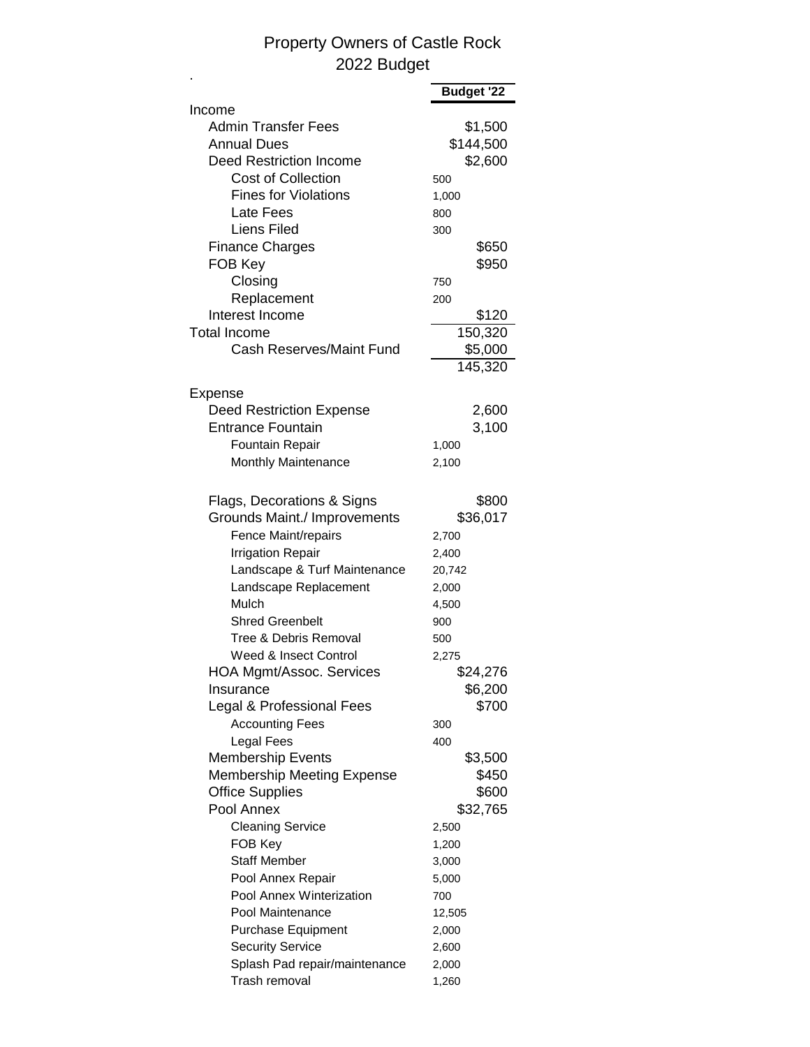## Property Owners of Castle Rock 2022 Budget

|                                       | Budget '22        |
|---------------------------------------|-------------------|
| Income                                |                   |
| <b>Admin Transfer Fees</b>            | \$1,500           |
| <b>Annual Dues</b>                    | \$144,500         |
| <b>Deed Restriction Income</b>        | \$2,600           |
| <b>Cost of Collection</b>             | 500               |
| <b>Fines for Violations</b>           | 1,000             |
| Late Fees                             | 800               |
| Liens Filed                           | 300               |
| <b>Finance Charges</b>                | \$650             |
| FOB Key                               | \$950             |
| Closing                               | 750               |
| Replacement                           | 200               |
| Interest Income                       | \$120             |
| <b>Total Income</b>                   | 150,320           |
| Cash Reserves/Maint Fund              | \$5,000           |
|                                       | 145,320           |
| Expense                               |                   |
| <b>Deed Restriction Expense</b>       | 2,600             |
| <b>Entrance Fountain</b>              | 3,100             |
| Fountain Repair                       | 1,000             |
| Monthly Maintenance                   | 2,100             |
| Flags, Decorations & Signs            | \$800             |
| Grounds Maint./ Improvements          | \$36,017          |
| Fence Maint/repairs                   | 2,700             |
| <b>Irrigation Repair</b>              | 2,400             |
| Landscape & Turf Maintenance          | 20,742            |
| Landscape Replacement                 | 2,000             |
| Mulch                                 | 4,500             |
| <b>Shred Greenbelt</b>                | 900               |
| Tree & Debris Removal                 | 500               |
| Weed & Insect Control                 |                   |
|                                       | 2,275<br>\$24,276 |
| HOA Mgmt/Assoc. Services<br>Insurance | \$6,200           |
| Legal & Professional Fees             | \$700             |
| <b>Accounting Fees</b>                |                   |
| <b>Legal Fees</b>                     | 300               |
|                                       | 400               |
| <b>Membership Events</b>              | \$3,500           |
| <b>Membership Meeting Expense</b>     | \$450             |
| <b>Office Supplies</b><br>Pool Annex  | \$600             |
|                                       | \$32,765          |
| <b>Cleaning Service</b>               | 2,500             |
| FOB Key                               | 1,200             |
| <b>Staff Member</b>                   | 3,000             |
| Pool Annex Repair                     | 5,000             |
| Pool Annex Winterization              | 700               |
| Pool Maintenance                      | 12,505            |
| <b>Purchase Equipment</b>             | 2,000             |
| <b>Security Service</b>               | 2,600             |
| Splash Pad repair/maintenance         | 2,000             |
| Trash removal                         | 1,260             |